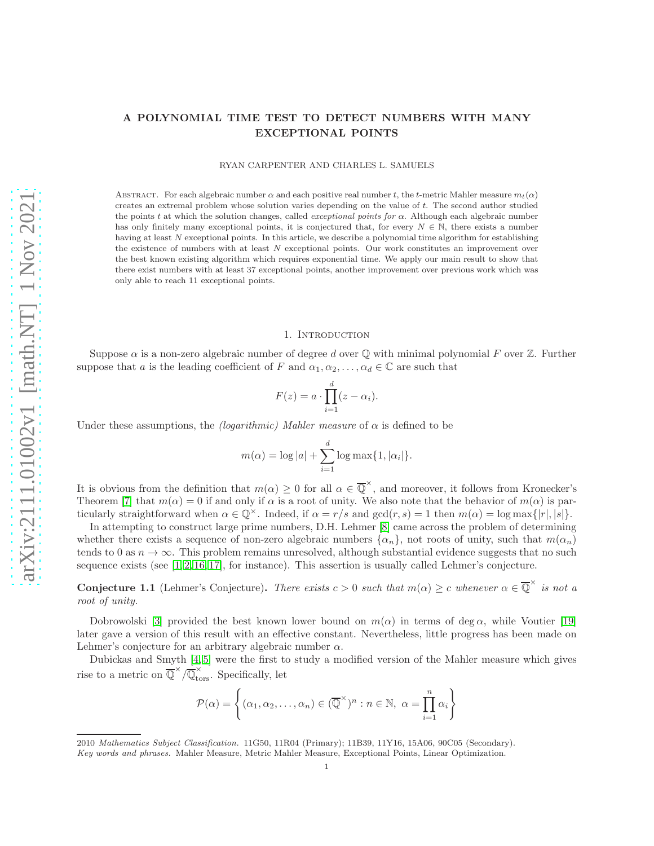# A POLYNOMIAL TIME TEST TO DETECT NUMBERS WITH MANY EXCEPTIONAL POINTS

RYAN CARPENTER AND CHARLES L. SAMUELS

ABSTRACT. For each algebraic number  $\alpha$  and each positive real number t, the t-metric Mahler measure  $m_t(\alpha)$ creates an extremal problem whose solution varies depending on the value of t. The second author studied the points t at which the solution changes, called *exceptional points for*  $\alpha$ . Although each algebraic number has only finitely many exceptional points, it is conjectured that, for every  $N \in \mathbb{N}$ , there exists a number having at least N exceptional points. In this article, we describe a polynomial time algorithm for establishing the existence of numbers with at least N exceptional points. Our work constitutes an improvement over the best known existing algorithm which requires exponential time. We apply our main result to show that there exist numbers with at least 37 exceptional points, another improvement over previous work which was only able to reach 11 exceptional points.

#### 1. INTRODUCTION

Suppose  $\alpha$  is a non-zero algebraic number of degree d over  $\mathbb Q$  with minimal polynomial F over  $\mathbb Z$ . Further suppose that a is the leading coefficient of F and  $\alpha_1, \alpha_2, \ldots, \alpha_d \in \mathbb{C}$  are such that

$$
F(z) = a \cdot \prod_{i=1}^{d} (z - \alpha_i).
$$

Under these assumptions, the *(logarithmic) Mahler measure* of  $\alpha$  is defined to be

$$
m(\alpha) = \log |a| + \sum_{i=1}^{d} \log \max\{1, |\alpha_i|\}.
$$

It is obvious from the definition that  $m(\alpha) \geq 0$  for all  $\alpha \in \overline{\mathbb{Q}}^{\times}$ , and moreover, it follows from Kronecker's Theorem [\[7\]](#page-11-0) that  $m(\alpha) = 0$  if and only if  $\alpha$  is a root of unity. We also note that the behavior of  $m(\alpha)$  is particularly straightforward when  $\alpha \in \mathbb{Q}^{\times}$ . Indeed, if  $\alpha = r/s$  and  $gcd(r, s) = 1$  then  $m(\alpha) = log \max\{|r|, |s|\}.$ 

In attempting to construct large prime numbers, D.H. Lehmer [\[8\]](#page-11-1) came across the problem of determining whether there exists a sequence of non-zero algebraic numbers  $\{\alpha_n\}$ , not roots of unity, such that  $m(\alpha_n)$ tends to 0 as  $n \to \infty$ . This problem remains unresolved, although substantial evidence suggests that no such sequence exists (see  $[1, 2, 16, 17]$  $[1, 2, 16, 17]$  $[1, 2, 16, 17]$  $[1, 2, 16, 17]$ , for instance). This assertion is usually called Lehmer's conjecture.

**Conjecture 1.1** (Lehmer's Conjecture). *There exists*  $c > 0$  *such that*  $m(\alpha) \geq c$  *whenever*  $\alpha \in \overline{\mathbb{Q}}^{\times}$  *is not a root of unity.*

Dobrowolski [\[3\]](#page-11-6) provided the best known lower bound on  $m(\alpha)$  in terms of deg  $\alpha$ , while Voutier [\[19\]](#page-11-7) later gave a version of this result with an effective constant. Nevertheless, little progress has been made on Lehmer's conjecture for an arbitrary algebraic number  $\alpha$ .

Dubickas and Smyth [\[4,](#page-11-8) [5\]](#page-11-9) were the first to study a modified version of the Mahler measure which gives rise to a metric on  $\overline{\mathbb{Q}}^{\times}/\overline{\mathbb{Q}}_{\text{tors}}^{\times}$ . Specifically, let

$$
\mathcal{P}(\alpha) = \left\{ (\alpha_1, \alpha_2, \dots, \alpha_n) \in (\overline{\mathbb{Q}}^{\times})^n : n \in \mathbb{N}, \ \alpha = \prod_{i=1}^n \alpha_i \right\}
$$

<sup>2010</sup> Mathematics Subject Classification. 11G50, 11R04 (Primary); 11B39, 11Y16, 15A06, 90C05 (Secondary).

Key words and phrases. Mahler Measure, Metric Mahler Measure, Exceptional Points, Linear Optimization.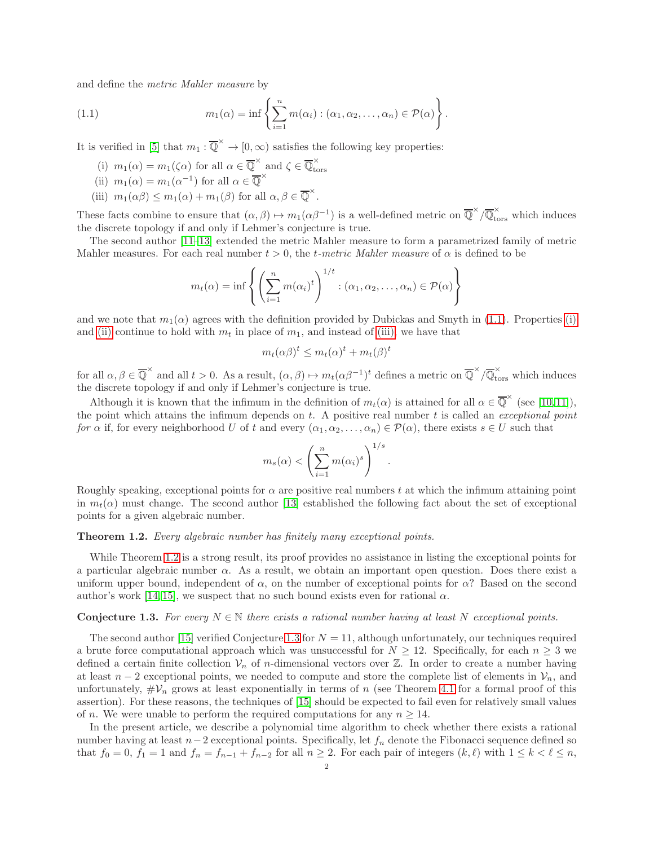and define the *metric Mahler measure* by

(1.1) 
$$
m_1(\alpha) = \inf \left\{ \sum_{i=1}^n m(\alpha_i) : (\alpha_1, \alpha_2, \dots, \alpha_n) \in \mathcal{P}(\alpha) \right\}
$$

<span id="page-1-1"></span>It is verified in [\[5\]](#page-11-9) that  $m_1 : \overline{\mathbb{Q}}^{\times} \to [0, \infty)$  satisfies the following key properties:

<span id="page-1-2"></span><span id="page-1-0"></span>(i)  $m_1(\alpha) = m_1(\zeta \alpha)$  for all  $\alpha \in \overline{\mathbb{Q}}^{\times}$  and  $\zeta \in \overline{\mathbb{Q}}_{\text{tc}}^{\times}$  $\mathcal{L}_\times$  and  $\zeta \in \mathcal{L}_{\text{tors}}$ 

<span id="page-1-3"></span>(ii) 
$$
m_1(\alpha) = m_1(\alpha^{-1})
$$
 for all  $\alpha \in \overline{\mathbb{Q}}^{\times}$ 

(iii)  $m_1(\alpha\beta) \leq m_1(\alpha) + m_1(\beta)$  for all  $\alpha, \beta \in \overline{\mathbb{Q}}^{\times}$ .

These facts combine to ensure that  $(\alpha, \beta) \mapsto m_1(\alpha \beta^{-1})$  is a well-defined metric on  $\overline{\mathbb{Q}}^{\times}/\overline{\mathbb{Q}}_{\text{tors}}^{\times}$  which induces the discrete topology if and only if Lehmer's conjecture is true.

.

The second author [\[11](#page-11-10)[–13\]](#page-11-11) extended the metric Mahler measure to form a parametrized family of metric Mahler measures. For each real number  $t > 0$ , the *t-metric Mahler measure* of  $\alpha$  is defined to be

$$
m_t(\alpha) = \inf \left\{ \left( \sum_{i=1}^n m(\alpha_i)^t \right)^{1/t} : (\alpha_1, \alpha_2, \dots, \alpha_n) \in \mathcal{P}(\alpha) \right\}
$$

and we note that  $m_1(\alpha)$  agrees with the definition provided by Dubickas and Smyth in [\(1.1\)](#page-1-0). Properties [\(i\)](#page-1-1) and [\(ii\)](#page-1-2) continue to hold with  $m_t$  in place of  $m_1$ , and instead of [\(iii\),](#page-1-3) we have that

$$
m_t(\alpha \beta)^t \le m_t(\alpha)^t + m_t(\beta)^t
$$

for all  $\alpha, \beta \in \overline{\mathbb{Q}}^{\times}$  and all  $t > 0$ . As a result,  $(\alpha, \beta) \mapsto m_t(\alpha \beta^{-1})^t$  defines a metric on  $\overline{\mathbb{Q}}^{\times}/\overline{\mathbb{Q}}_{\text{tors}}^{\times}$  which induces the discrete topology if and only if Lehmer's conjecture is true.

Although it is known that the infimum in the definition of  $m_t(\alpha)$  is attained for all  $\alpha \in \overline{\mathbb{Q}}^{\times}$  (see [\[10,](#page-11-12)11]), the point which attains the infimum depends on t. A positive real number t is called an *exceptional point for*  $\alpha$  if, for every neighborhood U of t and every  $(\alpha_1, \alpha_2, \ldots, \alpha_n) \in \mathcal{P}(\alpha)$ , there exists  $s \in U$  such that

$$
m_s(\alpha) < \left(\sum_{i=1}^n m(\alpha_i)^s\right)^{1/s}.
$$

Roughly speaking, exceptional points for  $\alpha$  are positive real numbers t at which the infimum attaining point in  $m_t(\alpha)$  must change. The second author [\[13\]](#page-11-11) established the following fact about the set of exceptional points for a given algebraic number.

# <span id="page-1-4"></span>Theorem 1.2. *Every algebraic number has finitely many exceptional points.*

While Theorem [1.2](#page-1-4) is a strong result, its proof provides no assistance in listing the exceptional points for a particular algebraic number  $\alpha$ . As a result, we obtain an important open question. Does there exist a uniform upper bound, independent of  $\alpha$ , on the number of exceptional points for  $\alpha$ ? Based on the second author's work [\[14,](#page-11-13) [15\]](#page-11-14), we suspect that no such bound exists even for rational  $\alpha$ .

# <span id="page-1-5"></span>**Conjecture 1.3.** For every  $N \in \mathbb{N}$  there exists a rational number having at least N exceptional points.

The second author [\[15\]](#page-11-14) verified Conjecture [1.3](#page-1-5) for  $N = 11$ , although unfortunately, our techniques required a brute force computational approach which was unsuccessful for  $N \ge 12$ . Specifically, for each  $n \ge 3$  we defined a certain finite collection  $V_n$  of n-dimensional vectors over Z. In order to create a number having at least  $n-2$  exceptional points, we needed to compute and store the complete list of elements in  $\mathcal{V}_n$ , and unfortunately,  $\#\mathcal{V}_n$  grows at least exponentially in terms of n (see Theorem [4.1](#page-8-0) for a formal proof of this assertion). For these reasons, the techniques of [\[15\]](#page-11-14) should be expected to fail even for relatively small values of *n*. We were unable to perform the required computations for any  $n \geq 14$ .

In the present article, we describe a polynomial time algorithm to check whether there exists a rational number having at least  $n-2$  exceptional points. Specifically, let  $f_n$  denote the Fibonacci sequence defined so that  $f_0 = 0$ ,  $f_1 = 1$  and  $f_n = f_{n-1} + f_{n-2}$  for all  $n \ge 2$ . For each pair of integers  $(k, \ell)$  with  $1 \le k < \ell \le n$ ,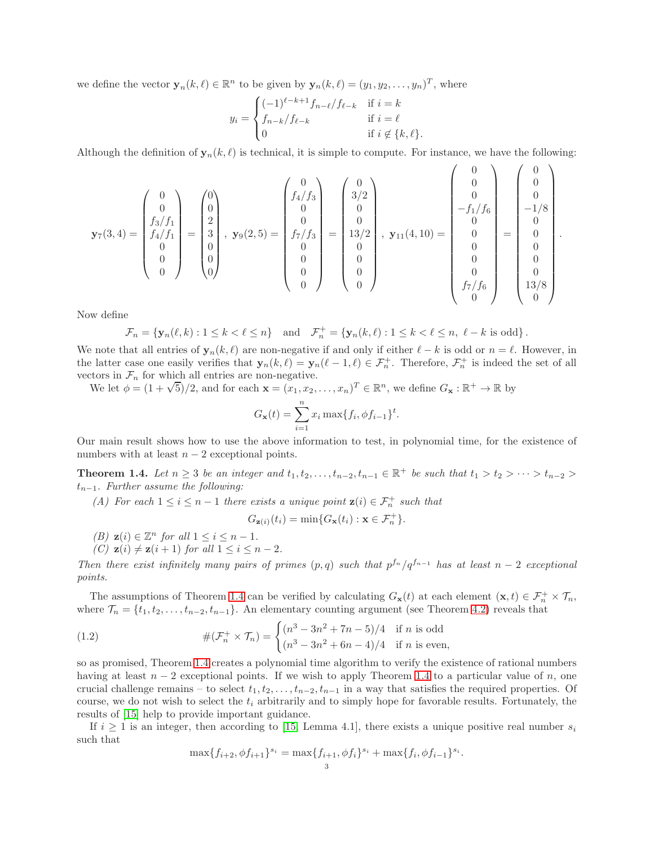we define the vector  $\mathbf{y}_n(k,\ell) \in \mathbb{R}^n$  to be given by  $\mathbf{y}_n(k,\ell) = (y_1, y_2, \dots, y_n)^T$ , where

$$
y_i = \begin{cases} (-1)^{\ell-k+1} f_{n-\ell} / f_{\ell-k} & \text{if } i = k \\ f_{n-k} / f_{\ell-k} & \text{if } i = \ell \\ 0 & \text{if } i \notin \{k, \ell\}. \end{cases}
$$

Although the definition of  $y_n(k, \ell)$  is technical, it is simple to compute. For instance, we have the following:

 $\Omega$ 

.

.

$$
\mathbf{y}_7(3,4) = \begin{pmatrix} 0 \\ 0 \\ f_3/f_1 \\ f_4/f_1 \\ 0 \\ 0 \\ 0 \end{pmatrix} = \begin{pmatrix} 0 \\ 0 \\ 2 \\ 3 \\ 0 \\ 0 \\ 0 \\ 0 \end{pmatrix}, \ \mathbf{y}_9(2,5) = \begin{pmatrix} 0 \\ 0 \\ f_4/f_3 \\ 0 \\ f_7/f_3 \\ 0 \\ 0 \\ 0 \\ 0 \\ 0 \end{pmatrix} = \begin{pmatrix} 0 \\ 3/2 \\ 0 \\ 0 \\ 13/2 \\ 0 \\ 0 \\ 0 \\ 0 \\ 0 \end{pmatrix}, \ \mathbf{y}_{11}(4,10) = \begin{pmatrix} 0 \\ 0 \\ 0 \\ -f_1/f_6 \\ 0 \\ 0 \\ 0 \\ 0 \\ 0 \\ 0 \\ 0 \\ 0 \\ 0 \end{pmatrix} = \begin{pmatrix} 0 \\ 0 \\ 0 \\ -1/8 \\ 0 \\ 0 \\ 0 \\ 0 \\ 13/8 \\ 13/8 \\ 0 \\ 0 \\ 0 \\ 0 \end{pmatrix}
$$

Now define

$$
\mathcal{F}_n = \{ \mathbf{y}_n(\ell, k) : 1 \le k < \ell \le n \} \quad \text{and} \quad \mathcal{F}_n^+ = \{ \mathbf{y}_n(k, \ell) : 1 \le k < \ell \le n, \ \ell - k \text{ is odd} \} \, .
$$

We note that all entries of  $y_n(k, \ell)$  are non-negative if and only if either  $\ell - k$  is odd or  $n = \ell$ . However, in the latter case one easily verifies that  $\mathbf{y}_n(k,\ell) = \mathbf{y}_n(\ell-1,\ell) \in \mathcal{F}_n^+$ . Therefore,  $\mathcal{F}_n^+$  is indeed the set of all vectors in  $\mathcal{F}_n$  for which all entries are non-negative.

We let  $\phi = (1 + \sqrt{5})/2$ , and for each  $\mathbf{x} = (x_1, x_2, ..., x_n)^T \in \mathbb{R}^n$ , we define  $G_{\mathbf{x}} : \mathbb{R}^+ \to \mathbb{R}$  by

$$
G_{\mathbf{x}}(t) = \sum_{i=1}^{n} x_i \max\{f_i, \phi f_{i-1}\}^t.
$$

Our main result shows how to use the above information to test, in polynomial time, for the existence of numbers with at least  $n-2$  exceptional points.

<span id="page-2-1"></span><span id="page-2-0"></span>**Theorem 1.4.** Let  $n \geq 3$  be an integer and  $t_1, t_2, \ldots, t_{n-2}, t_{n-1} \in \mathbb{R}^+$  be such that  $t_1 > t_2 > \cdots > t_{n-2} >$ tn−1*. Further assume the following:*

*(A) For each*  $1 \leq i \leq n-1$  *there exists a unique point*  $z(i) \in \mathcal{F}_n^+$  *such that* 

$$
G_{\mathbf{z}(i)}(t_i) = \min\{G_{\mathbf{x}}(t_i) : \mathbf{x} \in \mathcal{F}_n^+\}.
$$

- <span id="page-2-2"></span>*(B)*  $z(i) \in \mathbb{Z}^n$  *for all*  $1 \leq i \leq n-1$ *.*
- *(C)*  $z(i) \neq z(i + 1)$  *for all*  $1 \leq i \leq n 2$ *.*

*Then there exist infinitely many pairs of primes*  $(p,q)$  *such that*  $p^{f_n}/q^{f_{n-1}}$  *has at least*  $n-2$  *exceptional points.*

The assumptions of Theorem [1.4](#page-2-0) can be verified by calculating  $G_{\mathbf{x}}(t)$  at each element  $(\mathbf{x}, t) \in \mathcal{F}_n^+ \times \mathcal{T}_n$ , where  $\mathcal{T}_n = \{t_1, t_2, \ldots, t_{n-2}, t_{n-1}\}.$  An elementary counting argument (see Theorem [4.2\)](#page-10-0) reveals that

(1.2) 
$$
\#(\mathcal{F}_n^+ \times \mathcal{T}_n) = \begin{cases} (n^3 - 3n^2 + 7n - 5)/4 & \text{if } n \text{ is odd} \\ (n^3 - 3n^2 + 6n - 4)/4 & \text{if } n \text{ is even,} \end{cases}
$$

so as promised, Theorem [1.4](#page-2-0) creates a polynomial time algorithm to verify the existence of rational numbers having at least  $n-2$  exceptional points. If we wish to apply Theorem [1.4](#page-2-0) to a particular value of n, one crucial challenge remains – to select  $t_1, t_2, \ldots, t_{n-2}, t_{n-1}$  in a way that satisfies the required properties. Of course, we do not wish to select the  $t_i$  arbitrarily and to simply hope for favorable results. Fortunately, the results of [\[15\]](#page-11-14) help to provide important guidance.

If  $i \geq 1$  is an integer, then according to [\[15,](#page-11-14) Lemma 4.1], there exists a unique positive real number  $s_i$ such that

<span id="page-2-3"></span>
$$
\max\{f_{i+2}, \phi f_{i+1}\}^{s_i} = \max\{f_{i+1}, \phi f_i\}^{s_i} + \max\{f_i, \phi f_{i-1}\}^{s_i}
$$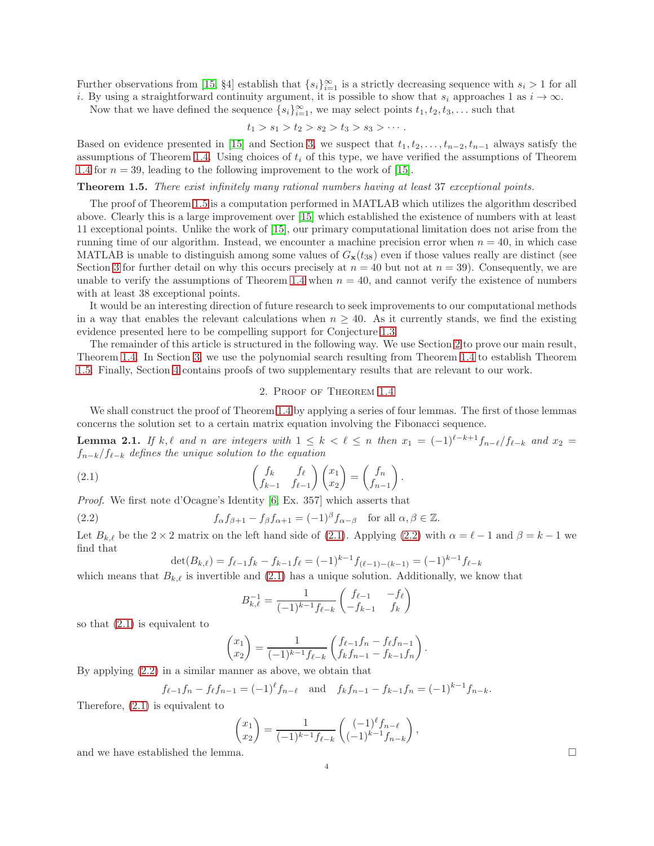Further observations from [\[15,](#page-11-14) §4] establish that  $\{s_i\}_{i=1}^{\infty}$  is a strictly decreasing sequence with  $s_i > 1$  for all

i. By using a straightforward continuity argument, it is possible to show that  $s_i$  approaches 1 as  $i \to \infty$ .

Now that we have defined the sequence  $\{s_i\}_{i=1}^{\infty}$ , we may select points  $t_1, t_2, t_3, \ldots$  such that

$$
t_1 > s_1 > t_2 > s_2 > t_3 > s_3 > \cdots
$$

Based on evidence presented in [\[15\]](#page-11-14) and Section [3,](#page-7-0) we suspect that  $t_1, t_2, \ldots, t_{n-2}, t_{n-1}$  always satisfy the assumptions of Theorem [1.4.](#page-2-0) Using choices of  $t_i$  of this type, we have verified the assumptions of Theorem [1.4](#page-2-0) for  $n = 39$ , leading to the following improvement to the work of [\[15\]](#page-11-14).

<span id="page-3-0"></span>Theorem 1.5. *There exist infinitely many rational numbers having at least* 37 *exceptional points.*

The proof of Theorem [1.5](#page-3-0) is a computation performed in MATLAB which utilizes the algorithm described above. Clearly this is a large improvement over [\[15\]](#page-11-14) which established the existence of numbers with at least 11 exceptional points. Unlike the work of [\[15\]](#page-11-14), our primary computational limitation does not arise from the running time of our algorithm. Instead, we encounter a machine precision error when  $n = 40$ , in which case MATLAB is unable to distinguish among some values of  $G_{\mathbf{x}}(t_{38})$  even if those values really are distinct (see Section [3](#page-7-0) for further detail on why this occurs precisely at  $n = 40$  but not at  $n = 39$ ). Consequently, we are unable to verify the assumptions of Theorem [1.4](#page-2-0) when  $n = 40$ , and cannot verify the existence of numbers with at least 38 exceptional points.

It would be an interesting direction of future research to seek improvements to our computational methods in a way that enables the relevant calculations when  $n \geq 40$ . As it currently stands, we find the existing evidence presented here to be compelling support for Conjecture [1.3.](#page-1-5)

The remainder of this article is structured in the following way. We use Section [2](#page-3-1) to prove our main result, Theorem [1.4.](#page-2-0) In Section [3,](#page-7-0) we use the polynomial search resulting from Theorem [1.4](#page-2-0) to establish Theorem [1.5.](#page-3-0) Finally, Section [4](#page-8-1) contains proofs of two supplementary results that are relevant to our work.

### <span id="page-3-2"></span>2. Proof of Theorem [1.4](#page-2-0)

<span id="page-3-1"></span>We shall construct the proof of Theorem [1.4](#page-2-0) by applying a series of four lemmas. The first of those lemmas concerns the solution set to a certain matrix equation involving the Fibonacci sequence.

<span id="page-3-4"></span>**Lemma 2.1.** If k,  $\ell$  and n are integers with  $1 \leq k < \ell \leq n$  then  $x_1 = (-1)^{\ell-k+1} f_{n-\ell}/f_{\ell-k}$  and  $x_2 =$ fn−k/fℓ−<sup>k</sup> *defines the unique solution to the equation*

(2.1) 
$$
\begin{pmatrix} f_k & f_\ell \ f_{k-1} & f_{\ell-1} \end{pmatrix} \begin{pmatrix} x_1 \ x_2 \end{pmatrix} = \begin{pmatrix} f_n \ f_{n-1} \end{pmatrix}.
$$

*Proof.* We first note d'Ocagne's Identity [\[6,](#page-11-15) Ex. 357] which asserts that

(2.2) 
$$
f_{\alpha}f_{\beta+1} - f_{\beta}f_{\alpha+1} = (-1)^{\beta}f_{\alpha-\beta} \text{ for all } \alpha, \beta \in \mathbb{Z}.
$$

Let  $B_{k,\ell}$  be the 2 × 2 matrix on the left hand side of [\(2.1\)](#page-3-2). Applying [\(2.2\)](#page-3-3) with  $\alpha = \ell - 1$  and  $\beta = k - 1$  we find that

<span id="page-3-3"></span>
$$
\det(B_{k,\ell}) = f_{\ell-1}f_k - f_{k-1}f_\ell = (-1)^{k-1}f_{(\ell-1)-(k-1)} = (-1)^{k-1}f_{\ell-k}
$$

which means that  $B_{k,\ell}$  is invertible and [\(2.1\)](#page-3-2) has a unique solution. Additionally, we know that

$$
B_{k,\ell}^{-1} = \frac{1}{(-1)^{k-1} f_{\ell-k}} \begin{pmatrix} f_{\ell-1} & -f_{\ell} \\ -f_{k-1} & f_k \end{pmatrix}
$$

so that [\(2.1\)](#page-3-2) is equivalent to

$$
\begin{pmatrix} x_1 \\ x_2 \end{pmatrix} = \frac{1}{(-1)^{k-1} f_{\ell-k}} \begin{pmatrix} f_{\ell-1} f_n - f_{\ell} f_{n-1} \\ f_k f_{n-1} - f_{k-1} f_n \end{pmatrix}.
$$

By applying [\(2.2\)](#page-3-3) in a similar manner as above, we obtain that

$$
f_{\ell-1}f_n - f_{\ell}f_{n-1} = (-1)^{\ell} f_{n-\ell}
$$
 and  $f_k f_{n-1} - f_{k-1}f_n = (-1)^{k-1} f_{n-k}$ .

Therefore, [\(2.1\)](#page-3-2) is equivalent to

$$
\begin{pmatrix} x_1 \\ x_2 \end{pmatrix} = \frac{1}{(-1)^{k-1} f_{\ell-k}} \begin{pmatrix} (-1)^{\ell} f_{n-\ell} \\ (-1)^{k-1} f_{n-k} \end{pmatrix},
$$

and we have established the lemma.  $\square$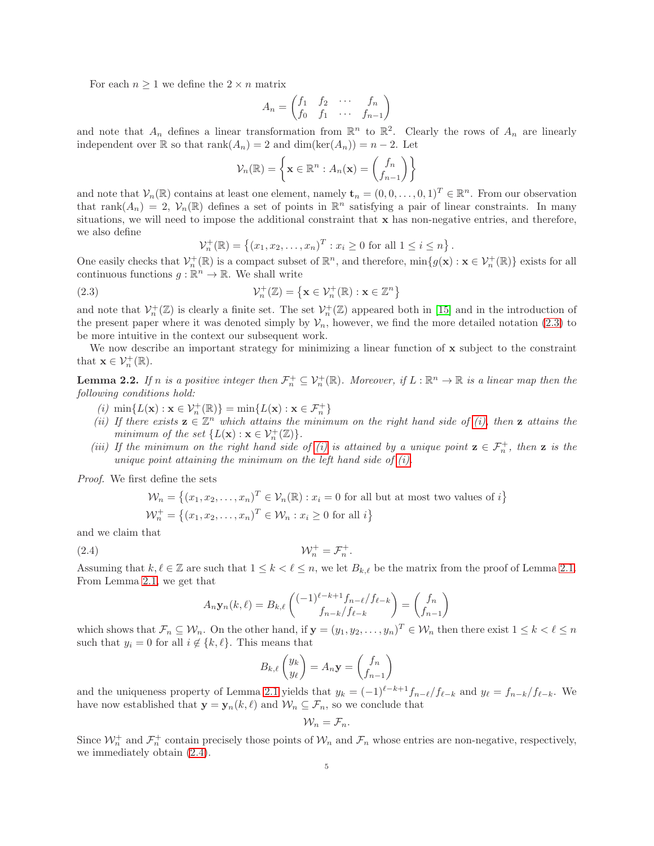For each  $n \geq 1$  we define the  $2 \times n$  matrix

$$
A_n = \begin{pmatrix} f_1 & f_2 & \cdots & f_n \\ f_0 & f_1 & \cdots & f_{n-1} \end{pmatrix}
$$

and note that  $A_n$  defines a linear transformation from  $\mathbb{R}^n$  to  $\mathbb{R}^2$ . Clearly the rows of  $A_n$  are linearly independent over  $\mathbb R$  so that rank $(A_n) = 2$  and  $\dim(\ker(A_n)) = n - 2$ . Let

$$
\mathcal{V}_n(\mathbb{R}) = \left\{ \mathbf{x} \in \mathbb{R}^n : A_n(\mathbf{x}) = \begin{pmatrix} f_n \\ f_{n-1} \end{pmatrix} \right\}
$$

and note that  $V_n(\mathbb{R})$  contains at least one element, namely  $\mathbf{t}_n = (0, 0, \dots, 0, 1)^T \in \mathbb{R}^n$ . From our observation that rank $(A_n) = 2$ ,  $V_n(\mathbb{R})$  defines a set of points in  $\mathbb{R}^n$  satisfying a pair of linear constraints. In many situations, we will need to impose the additional constraint that  $x$  has non-negative entries, and therefore, we also define

<span id="page-4-0"></span>
$$
\mathcal{V}_n^+(\mathbb{R}) = \{(x_1, x_2, \dots, x_n)^T : x_i \ge 0 \text{ for all } 1 \le i \le n\}.
$$

One easily checks that  $\mathcal{V}_n^+(\mathbb{R})$  is a compact subset of  $\mathbb{R}^n$ , and therefore,  $\min\{g(\mathbf{x}) : \mathbf{x} \in \mathcal{V}_n^+(\mathbb{R})\}$  exists for all continuous functions  $g : \mathbb{R}^n \to \mathbb{R}$ . We shall write

(2.3) 
$$
\mathcal{V}_n^+(\mathbb{Z}) = \left\{ \mathbf{x} \in \mathcal{V}_n^+(\mathbb{R}) : \mathbf{x} \in \mathbb{Z}^n \right\}
$$

and note that  $\mathcal{V}_n^+(\mathbb{Z})$  is clearly a finite set. The set  $\mathcal{V}_n^+(\mathbb{Z})$  appeared both in [\[15\]](#page-11-14) and in the introduction of the present paper where it was denoted simply by  $\mathcal{V}_n$ , however, we find the more detailed notation [\(2.3\)](#page-4-0) to be more intuitive in the context our subsequent work.

We now describe an important strategy for minimizing a linear function of x subject to the constraint that  $\mathbf{x} \in \mathcal{V}_n^+(\mathbb{R})$ .

<span id="page-4-5"></span><span id="page-4-1"></span>**Lemma 2.2.** If n is a positive integer then  $\mathcal{F}_n^+ \subseteq \mathcal{V}_n^+(\mathbb{R})$ . Moreover, if  $L : \mathbb{R}^n \to \mathbb{R}$  is a linear map then the *following conditions hold:*

- <span id="page-4-4"></span> $(i)$  min $\{L(\mathbf{x}) : \mathbf{x} \in \mathcal{V}_n^+(\mathbb{R})\} = \min\{L(\mathbf{x}) : \mathbf{x} \in \mathcal{F}_n^+\}$
- *(ii) If there exists*  $\mathbf{z} \in \mathbb{Z}^n$  *which attains the minimum on the right hand side of [\(i\),](#page-4-1) then*  $\mathbf{z}$  *attains the minimum of the set*  $\{L(\mathbf{x}) : \mathbf{x} \in \mathcal{V}_n^+(\mathbb{Z})\}.$
- <span id="page-4-3"></span>*(iii)* If the minimum on the right hand side of *(i)* is attained by a unique point  $z \in \mathcal{F}_n^+$ , then z is the *unique point attaining the minimum on the left hand side of [\(i\).](#page-4-1)*

*Proof.* We first define the sets

$$
\mathcal{W}_n = \left\{ (x_1, x_2, \dots, x_n)^T \in \mathcal{V}_n(\mathbb{R}) : x_i = 0 \text{ for all but at most two values of } i \right\}
$$

$$
\mathcal{W}_n^+ = \left\{ (x_1, x_2, \dots, x_n)^T \in \mathcal{W}_n : x_i \ge 0 \text{ for all } i \right\}
$$

and we claim that

$$
(2.4) \t\t\t W_n^+ = \mathcal{F}_n^+.
$$

Assuming that  $k, \ell \in \mathbb{Z}$  are such that  $1 \leq k < \ell \leq n$ , we let  $B_{k,\ell}$  be the matrix from the proof of Lemma [2.1.](#page-3-4) From Lemma [2.1,](#page-3-4) we get that

<span id="page-4-2"></span>
$$
A_n \mathbf{y}_n(k,\ell) = B_{k,\ell} \begin{pmatrix} (-1)^{\ell-k+1} f_{n-\ell} / f_{\ell-k} \\ f_{n-k} / f_{\ell-k} \end{pmatrix} = \begin{pmatrix} f_n \\ f_{n-1} \end{pmatrix}
$$

which shows that  $\mathcal{F}_n \subseteq \mathcal{W}_n$ . On the other hand, if  $\mathbf{y} = (y_1, y_2, \dots, y_n)^T \in \mathcal{W}_n$  then there exist  $1 \leq k < \ell \leq n$ such that  $y_i = 0$  for all  $i \notin \{k, \ell\}$ . This means that

$$
B_{k,\ell}\begin{pmatrix} y_k \\ y_\ell \end{pmatrix} = A_n \mathbf{y} = \begin{pmatrix} f_n \\ f_{n-1} \end{pmatrix}
$$

and the uniqueness property of Lemma [2.1](#page-3-4) yields that  $y_k = (-1)^{\ell-k+1} f_{n-\ell} / f_{\ell-k}$  and  $y_{\ell} = f_{n-k} / f_{\ell-k}$ . We have now established that  $\mathbf{y} = \mathbf{y}_n(k, \ell)$  and  $\mathcal{W}_n \subseteq \mathcal{F}_n$ , so we conclude that

$$
\mathcal{W}_n=\mathcal{F}_n.
$$

Since  $\mathcal{W}_n^+$  and  $\mathcal{F}_n^+$  contain precisely those points of  $\mathcal{W}_n$  and  $\mathcal{F}_n$  whose entries are non-negative, respectively, we immediately obtain [\(2.4\)](#page-4-2).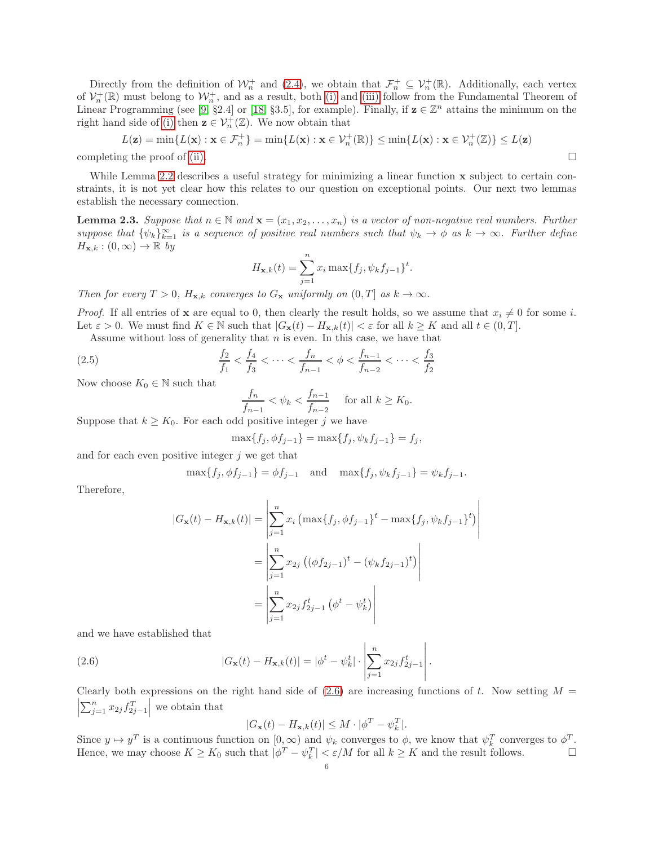Directly from the definition of  $\mathcal{W}_n^+$  and [\(2.4\)](#page-4-2), we obtain that  $\mathcal{F}_n^+ \subseteq \mathcal{V}_n^+(\mathbb{R})$ . Additionally, each vertex of  $\mathcal{V}_n^+(\mathbb{R})$  must belong to  $\mathcal{W}_n^+$ , and as a result, both [\(i\)](#page-4-1) and [\(iii\)](#page-4-3) follow from the Fundamental Theorem of Linear Programming (see [\[9,](#page-11-16) §2.4] or [\[18,](#page-11-17) §3.5], for example). Finally, if  $z \in \mathbb{Z}^n$  attains the minimum on the right hand side of [\(i\)](#page-4-1) then  $\mathbf{z} \in \mathcal{V}_n^+(\mathbb{Z})$ . We now obtain that

$$
L(\mathbf{z}) = \min\{L(\mathbf{x}) : \mathbf{x} \in \mathcal{F}_n^+\} = \min\{L(\mathbf{x}) : \mathbf{x} \in \mathcal{V}_n^+(\mathbb{R})\} \le \min\{L(\mathbf{x}) : \mathbf{x} \in \mathcal{V}_n^+(\mathbb{Z})\} \le L(\mathbf{z})
$$
  
line the proof of (ii)

completing the proof of [\(ii\).](#page-4-4)

While Lemma [2.2](#page-4-5) describes a useful strategy for minimizing a linear function x subject to certain constraints, it is not yet clear how this relates to our question on exceptional points. Our next two lemmas establish the necessary connection.

<span id="page-5-1"></span>**Lemma 2.3.** *Suppose that*  $n \in \mathbb{N}$  *and*  $\mathbf{x} = (x_1, x_2, \dots, x_n)$  *is a vector of non-negative real numbers. Further*  $suppose that \{\psi_k\}_{k=1}^{\infty}$  *is a sequence of positive real numbers such that*  $\psi_k \to \phi$  *as*  $k \to \infty$ *. Further define*  $H_{\mathbf{x},k}:(0,\infty)\to\mathbb{R}$  by

$$
H_{\mathbf{x},k}(t) = \sum_{j=1}^{n} x_i \max\{f_j, \psi_k f_{j-1}\}^t.
$$

*Then for every*  $T > 0$ *,*  $H_{\mathbf{x},k}$  *converges to*  $G_{\mathbf{x}}$  *uniformly on*  $(0,T]$  *as*  $k \to \infty$ *.* 

*Proof.* If all entries of **x** are equal to 0, then clearly the result holds, so we assume that  $x_i \neq 0$  for some i. Let  $\varepsilon > 0$ . We must find  $K \in \mathbb{N}$  such that  $|G_{\mathbf{x}}(t) - H_{\mathbf{x},k}(t)| < \varepsilon$  for all  $k \geq K$  and all  $t \in (0,T]$ .

Assume without loss of generality that  $n$  is even. In this case, we have that

(2.5) 
$$
\frac{f_2}{f_1} < \frac{f_4}{f_3} < \cdots < \frac{f_n}{f_{n-1}} < \phi < \frac{f_{n-1}}{f_{n-2}} < \cdots < \frac{f_3}{f_2}
$$

Now choose  $K_0 \in \mathbb{N}$  such that

$$
\frac{f_n}{f_{n-1}} < \psi_k < \frac{f_{n-1}}{f_{n-2}} \quad \text{for all } k \ge K_0.
$$

Suppose that  $k \geq K_0$ . For each odd positive integer j we have

$$
\max\{f_j, \phi f_{j-1}\} = \max\{f_j, \psi_k f_{j-1}\} = f_j,
$$

and for each even positive integer  $j$  we get that

$$
\max\{f_j, \phi f_{j-1}\} = \phi f_{j-1}
$$
 and  $\max\{f_j, \psi_k f_{j-1}\} = \psi_k f_{j-1}.$ 

Therefore,

$$
|G_{\mathbf{x}}(t) - H_{\mathbf{x},k}(t)| = \left| \sum_{j=1}^{n} x_i \left( \max\{f_j, \phi f_{j-1}\}^t - \max\{f_j, \psi_k f_{j-1}\}^t \right) \right|
$$
  
= 
$$
\left| \sum_{j=1}^{n} x_{2j} \left( (\phi f_{2j-1})^t - (\psi_k f_{2j-1})^t \right) \right|
$$
  
= 
$$
\left| \sum_{j=1}^{n} x_{2j} f_{2j-1}^t \left( \phi^t - \psi_k^t \right) \right|
$$

and we have established that

(2.6) 
$$
|G_{\mathbf{x}}(t) - H_{\mathbf{x},k}(t)| = |\phi^t - \psi^t_k| \cdot \left| \sum_{j=1}^n x_{2j} f^t_{2j-1} \right|.
$$

 $\left|\sum_{j=1}^n x_{2j} f_{2j-1}^T\right|$  we obtain that Clearly both expressions on the right hand side of  $(2.6)$  are increasing functions of t. Now setting  $M =$ 

<span id="page-5-0"></span>
$$
|G_{\mathbf{x}}(t) - H_{\mathbf{x},k}(t)| \leq M \cdot |\phi^T - \psi_k^T|.
$$

Since  $y \mapsto y^T$  is a continuous function on  $[0, \infty)$  and  $\psi_k$  converges to  $\phi$ , we know that  $\psi_k^T$  converges to  $\phi^T$ . Hence, we may choose  $K \geq K_0$  such that  $|\phi^T - \psi_k^T| < \varepsilon/M$  for all  $k \geq K$  and the result follows.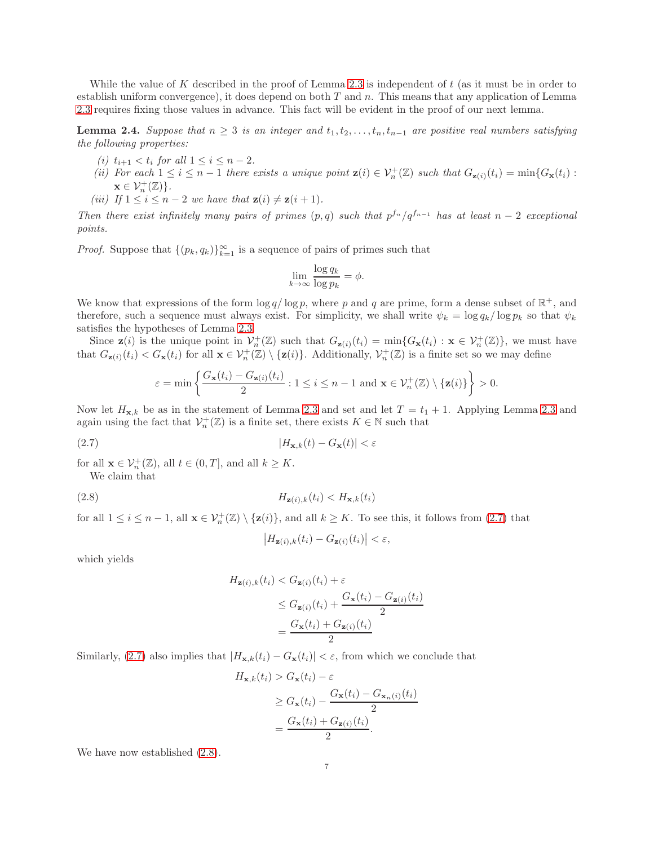While the value of K described in the proof of Lemma [2.3](#page-5-1) is independent of  $t$  (as it must be in order to establish uniform convergence), it does depend on both  $T$  and  $n$ . This means that any application of Lemma [2.3](#page-5-1) requires fixing those values in advance. This fact will be evident in the proof of our next lemma.

<span id="page-6-4"></span><span id="page-6-3"></span>**Lemma 2.4.** *Suppose that*  $n \geq 3$  *is an integer and*  $t_1, t_2, \ldots, t_n, t_{n-1}$  *are positive real numbers satisfying the following properties:*

- <span id="page-6-5"></span>*(i)*  $t_{i+1} < t_i$  *for all*  $1 \leq i \leq n-2$ *.*
- *(ii)* For each  $1 \leq i \leq n-1$  there exists a unique point  $\mathbf{z}(i) \in \mathcal{V}_n^+(\mathbb{Z})$  such that  $G_{\mathbf{z}(i)}(t_i) = \min\{G_{\mathbf{x}}(t_i) :$  $\mathbf{x} \in \mathcal{V}_n^+(\mathbb{Z})\}.$
- <span id="page-6-2"></span>*(iii)* If  $1 \leq i \leq n-2$  *we have that*  $\mathbf{z}(i) \neq \mathbf{z}(i+1)$ *.*

*Then there exist infinitely many pairs of primes*  $(p,q)$  *such that*  $p^{f_n}/q^{f_{n-1}}$  *has at least*  $n-2$  *exceptional points.*

*Proof.* Suppose that  $\{(p_k, q_k)\}_{k=1}^{\infty}$  is a sequence of pairs of primes such that

$$
\lim_{k \to \infty} \frac{\log q_k}{\log p_k} = \phi.
$$

We know that expressions of the form  $\log q / \log p$ , where p and q are prime, form a dense subset of  $\mathbb{R}^+$ , and therefore, such a sequence must always exist. For simplicity, we shall write  $\psi_k = \log q_k / \log p_k$  so that  $\psi_k$ satisfies the hypotheses of Lemma [2.3.](#page-5-1)

Since  $\mathbf{z}(i)$  is the unique point in  $\mathcal{V}_n^+(\mathbb{Z})$  such that  $G_{\mathbf{z}(i)}(t_i) = \min\{G_{\mathbf{x}}(t_i) : \mathbf{x} \in \mathcal{V}_n^+(\mathbb{Z})\}$ , we must have that  $G_{\mathbf{z}(i)}(t_i) < G_{\mathbf{x}}(t_i)$  for all  $\mathbf{x} \in \mathcal{V}_n^+(\mathbb{Z}) \setminus {\mathbf{z}(i)}$ . Additionally,  $\mathcal{V}_n^+(\mathbb{Z})$  is a finite set so we may define

$$
\varepsilon = \min\left\{\frac{G_{\mathbf{x}}(t_i) - G_{\mathbf{z}(i)}(t_i)}{2} : 1 \leq i \leq n-1 \text{ and } \mathbf{x} \in \mathcal{V}_n^+(\mathbb{Z}) \setminus \{\mathbf{z}(i)\}\right\} > 0.
$$

Now let  $H_{\mathbf{x},k}$  be as in the statement of Lemma [2.3](#page-5-1) and set and let  $T = t_1 + 1$ . Applying Lemma 2.3 and again using the fact that  $\mathcal{V}_n^+(\mathbb{Z})$  is a finite set, there exists  $K \in \mathbb{N}$  such that

$$
(2.7) \t\t\t |H_{\mathbf{x},k}(t) - G_{\mathbf{x}}(t)| < \varepsilon
$$

for all  $\mathbf{x} \in \mathcal{V}_n^+(\mathbb{Z})$ , all  $t \in (0,T]$ , and all  $k \geq K$ .

We claim that

$$
(2.8) \t\t\t H_{\mathbf{z}(i),k}(t_i) < H_{\mathbf{x},k}(t_i)
$$

for all  $1 \leq i \leq n-1$ , all  $\mathbf{x} \in \mathcal{V}_n^+(\mathbb{Z}) \setminus {\mathbf{z}(i)}$ , and all  $k \geq K$ . To see this, it follows from  $(2.7)$  that

<span id="page-6-1"></span><span id="page-6-0"></span>
$$
\left|H_{\mathbf{z}(i),k}(t_i)-G_{\mathbf{z}(i)}(t_i)\right|<\varepsilon,
$$

which yields

$$
H_{\mathbf{z}(i),k}(t_i) < G_{\mathbf{z}(i)}(t_i) + \varepsilon
$$
\n
$$
\leq G_{\mathbf{z}(i)}(t_i) + \frac{G_{\mathbf{x}}(t_i) - G_{\mathbf{z}(i)}(t_i)}{2}
$$
\n
$$
= \frac{G_{\mathbf{x}}(t_i) + G_{\mathbf{z}(i)}(t_i)}{2}
$$

Similarly, [\(2.7\)](#page-6-0) also implies that  $|H_{\mathbf{x},k}(t_i) - G_{\mathbf{x}}(t_i)| < \varepsilon$ , from which we conclude that

$$
H_{\mathbf{x},k}(t_i) > G_{\mathbf{x}}(t_i) - \varepsilon
$$
  
\n
$$
\geq G_{\mathbf{x}}(t_i) - \frac{G_{\mathbf{x}}(t_i) - G_{\mathbf{x}_n(i)}(t_i)}{2}
$$
  
\n
$$
= \frac{G_{\mathbf{x}}(t_i) + G_{\mathbf{z}(i)}(t_i)}{2}.
$$

We have now established  $(2.8)$ .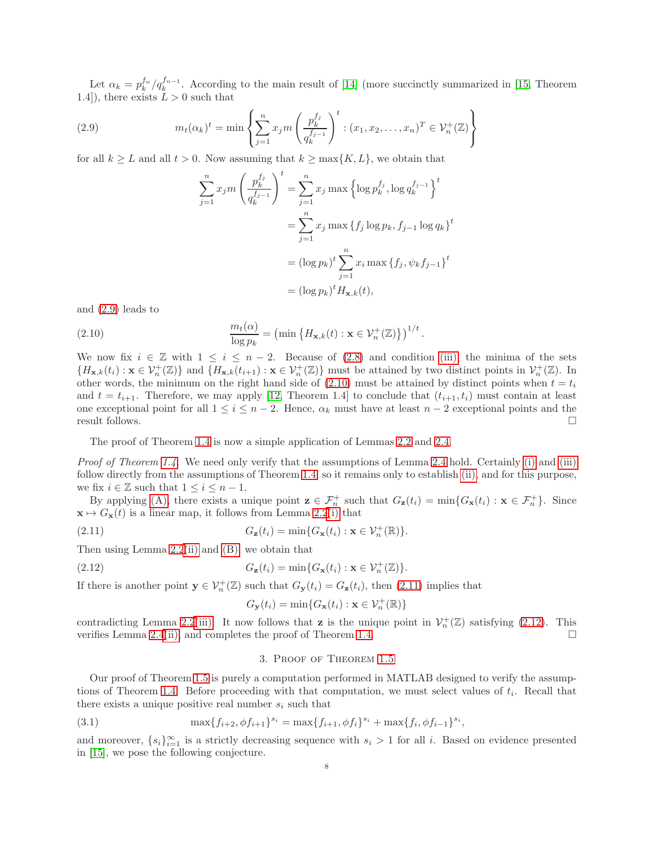Let  $\alpha_k = p_k^{f_n}/q_k^{f_{n-1}}$ . According to the main result of [\[14\]](#page-11-13) (more succinctly summarized in [\[15,](#page-11-14) Theorem 1.4]), there exists  $L > 0$  such that

(2.9) 
$$
m_t(\alpha_k)^t = \min \left\{ \sum_{j=1}^n x_j m \left( \frac{p_k^{f_j}}{q_k^{f_{j-1}}} \right)^t : (x_1, x_2, \dots, x_n)^T \in \mathcal{V}_n^+(\mathbb{Z}) \right\}
$$

for all  $k \geq L$  and all  $t > 0$ . Now assuming that  $k \geq \max\{K, L\}$ , we obtain that

<span id="page-7-1"></span>
$$
\sum_{j=1}^{n} x_j m \left(\frac{p_k^{f_j}}{q_k^{f_{j-1}}}\right)^t = \sum_{j=1}^{n} x_j \max \left\{\log p_k^{f_j}, \log q_k^{f_{j-1}}\right\}^t
$$

$$
= \sum_{j=1}^{n} x_j \max \left\{f_j \log p_k, f_{j-1} \log q_k\right\}^t
$$

$$
= (\log p_k)^t \sum_{j=1}^{n} x_i \max \left\{f_j, \psi_k f_{j-1}\right\}^t
$$

$$
= (\log p_k)^t H_{\mathbf{x},k}(t),
$$

and [\(2.9\)](#page-7-1) leads to

<span id="page-7-2"></span>(2.10) 
$$
\frac{m_t(\alpha)}{\log p_k} = \left(\min\left\{H_{\mathbf{x},k}(t) : \mathbf{x} \in \mathcal{V}_n^+(\mathbb{Z})\right\}\right)^{1/t}
$$

We now fix  $i \in \mathbb{Z}$  with  $1 \leq i \leq n-2$ . Because of [\(2.8\)](#page-6-1) and condition [\(iii\),](#page-6-2) the minima of the sets  ${H_{\mathbf{x},k}(t_i) : \mathbf{x} \in \mathcal{V}_n^+(\mathbb{Z})}$  and  ${H_{\mathbf{x},k}(t_{i+1}) : \mathbf{x} \in \mathcal{V}_n^+(\mathbb{Z})}$  must be attained by two distinct points in  $\mathcal{V}_n^+(\mathbb{Z})$ . In other words, the minimum on the right hand side of [\(2.10\)](#page-7-2) must be attained by distinct points when  $t = t_i$ and  $t = t_{i+1}$ . Therefore, we may apply [\[12,](#page-11-18) Theorem 1.4] to conclude that  $(t_{i+1}, t_i)$  must contain at least one exceptional point for all  $1 \le i \le n-2$ . Hence,  $\alpha_k$  must have at least  $n-2$  exceptional points and the result follows. □ result follows.  $\Box$ 

.

The proof of Theorem [1.4](#page-2-0) is now a simple application of Lemmas [2.2](#page-4-5) and [2.4.](#page-6-3)

*Proof of Theorem [1.4.](#page-2-0)* We need only verify that the assumptions of Lemma [2.4](#page-6-3) hold. Certainly [\(i\)](#page-6-4) and [\(iii\)](#page-6-2) follow directly from the assumptions of Theorem [1.4,](#page-2-0) so it remains only to establish [\(ii\),](#page-6-5) and for this purpose, we fix  $i\in\mathbb{Z}$  such that  $1\leq i\leq n-1.$ 

By applying [\(A\),](#page-2-1) there exists a unique point  $\mathbf{z} \in \mathcal{F}_n^+$  such that  $G_{\mathbf{z}}(t_i) = \min\{G_{\mathbf{x}}(t_i) : \mathbf{x} \in \mathcal{F}_n^+\}$ . Since  $\mathbf{x} \mapsto G_{\mathbf{x}}(t)$  is a linear map, it follows from Lemma [2.2](#page-4-5)[\(i\)](#page-4-1) that

(2.11) 
$$
G_{\mathbf{z}}(t_i) = \min\{G_{\mathbf{x}}(t_i) : \mathbf{x} \in \mathcal{V}_n^+(\mathbb{R})\}.
$$

Then using Lemma [2.2](#page-4-5)[\(ii\)](#page-4-4) and [\(B\),](#page-2-2) we obtain that

(2.12) 
$$
G_{\mathbf{z}}(t_i) = \min\{G_{\mathbf{x}}(t_i) : \mathbf{x} \in \mathcal{V}_n^+(\mathbb{Z})\}.
$$

If there is another point  $y \in V_n^+(\mathbb{Z})$  such that  $G_y(t_i) = G_z(t_i)$ , then [\(2.11\)](#page-7-3) implies that

<span id="page-7-4"></span><span id="page-7-3"></span>
$$
G_{\mathbf{y}}(t_i) = \min\{G_{\mathbf{x}}(t_i) : \mathbf{x} \in \mathcal{V}_n^+(\mathbb{R})\}
$$

<span id="page-7-0"></span>contradicting Lemma [2.2](#page-4-5)[\(iii\).](#page-4-3) It now follows that **z** is the unique point in  $\mathcal{V}_n^+(\mathbb{Z})$  satisfying [\(2.12\)](#page-7-4). This verifies Lemma [2.4](#page-6-3)[\(ii\),](#page-6-5) and completes the proof of Theorem [1.4.](#page-2-0)  $\Box$ 

#### <span id="page-7-5"></span>3. Proof of Theorem [1.5](#page-3-0)

Our proof of Theorem [1.5](#page-3-0) is purely a computation performed in MATLAB designed to verify the assump-tions of Theorem [1.4.](#page-2-0) Before proceeding with that computation, we must select values of  $t_i$ . Recall that there exists a unique positive real number  $s_i$  such that

(3.1) 
$$
\max\{f_{i+2}, \phi f_{i+1}\}^{s_i} = \max\{f_{i+1}, \phi f_i\}^{s_i} + \max\{f_i, \phi f_{i-1}\}^{s_i},
$$

and moreover,  $\{s_i\}_{i=1}^{\infty}$  is a strictly decreasing sequence with  $s_i > 1$  for all i. Based on evidence presented in [\[15\]](#page-11-14), we pose the following conjecture.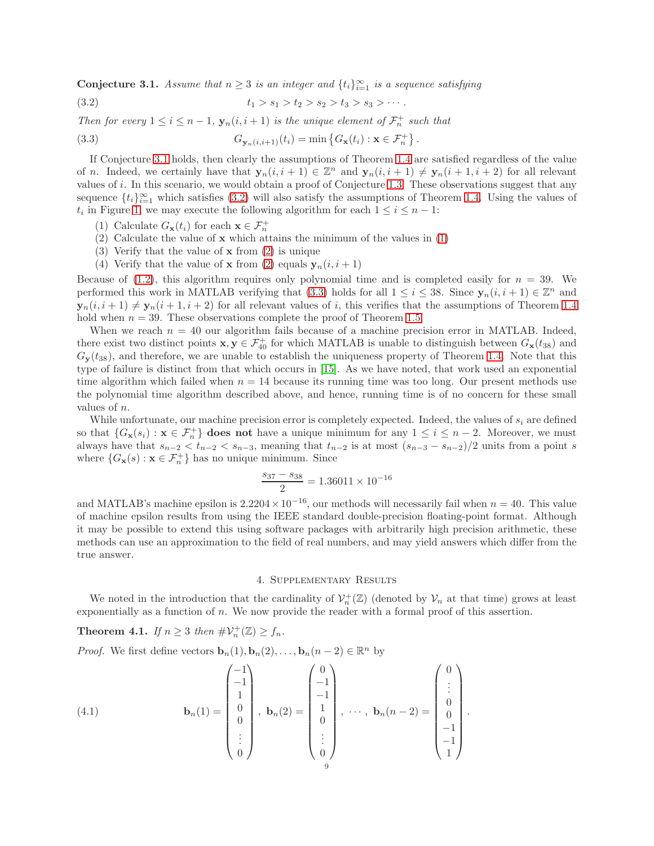<span id="page-8-2"></span>Conjecture 3.1. *Assume that*  $n \geq 3$  *is an integer and*  $\{t_i\}_{i=1}^{\infty}$  *is a sequence satisfying* 

<span id="page-8-3"></span>
$$
(3.2) \t t_1 > s_1 > t_2 > s_2 > t_3 > s_3 > \cdots.
$$

*Then for every*  $1 \leq i \leq n-1$ ,  $\mathbf{y}_n(i, i+1)$  *is the unique element of*  $\mathcal{F}_n^+$  *such that* 

<span id="page-8-6"></span>(3.3) 
$$
G_{\mathbf{y}_n(i,i+1)}(t_i) = \min \left\{ G_{\mathbf{x}}(t_i) : \mathbf{x} \in \mathcal{F}_n^+ \right\}.
$$

If Conjecture [3.1](#page-8-2) holds, then clearly the assumptions of Theorem [1.4](#page-2-0) are satisfied regardless of the value of n. Indeed, we certainly have that  $y_n(i, i + 1) \in \mathbb{Z}^n$  and  $y_n(i, i + 1) \neq y_n(i + 1, i + 2)$  for all relevant values of i. In this scenario, we would obtain a proof of Conjecture [1.3.](#page-1-5) These observations suggest that any sequence  $\{t_i\}_{i=1}^{\infty}$  which satisfies [\(3.2\)](#page-8-3) will also satisfy the assumptions of Theorem [1.4.](#page-2-0) Using the values of  $t_i$  in Figure [1,](#page-9-0) we may execute the following algorithm for each  $1 \leq i \leq n-1$ :

- <span id="page-8-5"></span><span id="page-8-4"></span>(1) Calculate  $G_{\mathbf{x}}(t_i)$  for each  $\mathbf{x} \in \mathcal{F}_n^+$
- (2) Calculate the value of x which attains the minimum of the values in [\(1\)](#page-8-4)
- (3) Verify that the value of x from [\(2\)](#page-8-5) is unique
- (4) Verify that the value of **x** from [\(2\)](#page-8-5) equals  $y_n(i, i + 1)$

Because of [\(1.2\)](#page-2-3), this algorithm requires only polynomial time and is completed easily for  $n = 39$ . We performed this work in MATLAB verifying that [\(3.3\)](#page-8-6) holds for all  $1 \leq i \leq 38$ . Since  $y_n(i, i + 1) \in \mathbb{Z}^n$  and  $\mathbf{y}_n(i, i+1) \neq \mathbf{y}_n(i+1, i+2)$  for all relevant values of i, this verifies that the assumptions of Theorem [1.4](#page-2-0) hold when  $n = 39$ . These observations complete the proof of Theorem [1.5.](#page-3-0)

When we reach  $n = 40$  our algorithm fails because of a machine precision error in MATLAB. Indeed, there exist two distinct points  $\mathbf{x}, \mathbf{y} \in \mathcal{F}_{40}^+$  for which MATLAB is unable to distinguish between  $G_{\mathbf{x}}(t_{38})$  and  $G_{\mathbf{y}}(t_{38})$ , and therefore, we are unable to establish the uniqueness property of Theorem [1.4.](#page-2-0) Note that this type of failure is distinct from that which occurs in [\[15\]](#page-11-14). As we have noted, that work used an exponential time algorithm which failed when  $n = 14$  because its running time was too long. Our present methods use the polynomial time algorithm described above, and hence, running time is of no concern for these small values of n.

While unfortunate, our machine precision error is completely expected. Indeed, the values of  $s_i$  are defined so that  $\{G_{\mathbf{x}}(s_i): \mathbf{x} \in \mathcal{F}_n^+\}$  does not have a unique minimum for any  $1 \le i \le n-2$ . Moreover, we must always have that  $s_{n-2} < t_{n-2} < s_{n-3}$ , meaning that  $t_{n-2}$  is at most  $(s_{n-3} - s_{n-2})/2$  units from a point s where  $\{G_{\mathbf{x}}(s): \mathbf{x} \in \mathcal{F}_n^+\}$  has no unique minimum. Since

$$
\frac{s_{37} - s_{38}}{2} = 1.36011 \times 10^{-16}
$$

and MATLAB's machine epsilon is  $2.2204 \times 10^{-16}$ , our methods will necessarily fail when  $n = 40$ . This value of machine epsilon results from using the IEEE standard double-precision floating-point format. Although it may be possible to extend this using software packages with arbitrarily high precision arithmetic, these methods can use an approximation to the field of real numbers, and may yield answers which differ from the true answer.

#### 4. Supplementary Results

<span id="page-8-1"></span>We noted in the introduction that the cardinality of  $\mathcal{V}_n^+(\mathbb{Z})$  (denoted by  $\mathcal{V}_n$  at that time) grows at least exponentially as a function of n. We now provide the reader with a formal proof of this assertion.

<span id="page-8-0"></span>**Theorem 4.1.** *If*  $n \geq 3$  *then*  $\#V_n^+(\mathbb{Z}) \geq f_n$ *.* 

*Proof.* We first define vectors  $\mathbf{b}_n(1), \mathbf{b}_n(2), \ldots, \mathbf{b}_n(n-2) \in \mathbb{R}^n$  by

(4.1) 
$$
\mathbf{b}_{n}(1) = \begin{pmatrix} -1 \\ -1 \\ 1 \\ 0 \\ 0 \\ \vdots \\ 0 \end{pmatrix}, \ \mathbf{b}_{n}(2) = \begin{pmatrix} 0 \\ -1 \\ -1 \\ 1 \\ 0 \\ \vdots \\ 0 \end{pmatrix}, \ \cdots, \ \mathbf{b}_{n}(n-2) = \begin{pmatrix} 0 \\ \vdots \\ 0 \\ 0 \\ -1 \\ -1 \\ 1 \end{pmatrix}.
$$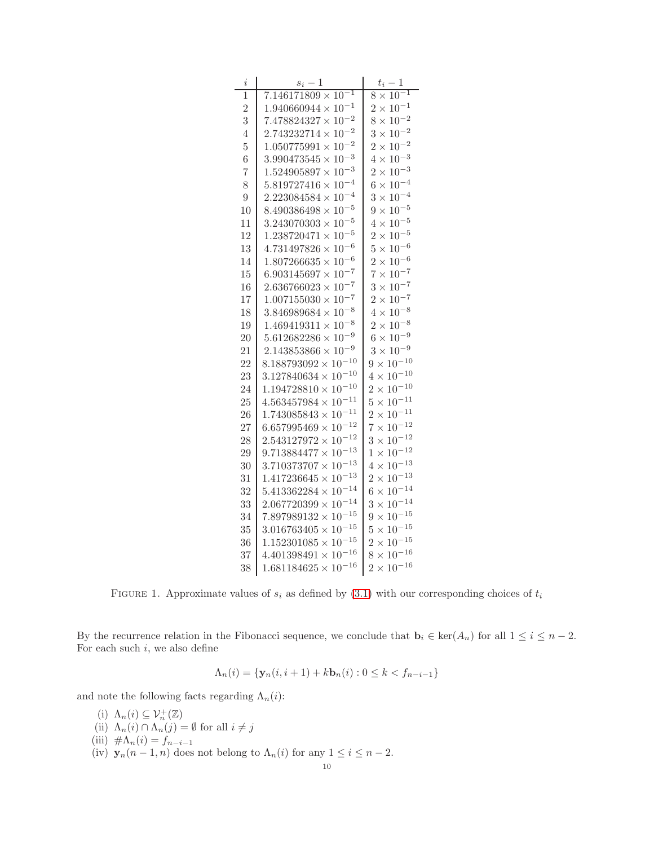| $\dot{\imath}$ | $s_i-1$                              | $t_i-1$                                 |
|----------------|--------------------------------------|-----------------------------------------|
| 1              | $7.146171809 \times 10^{-1}$         | $\times$ $\overline{10^{-1}}$<br>8      |
| $\overline{2}$ | $1.940660944 \times 10^{-1}$         | $2 \times 10^{-1}$                      |
| 3              | $7.478824327 \times 10^{-2}$         | $10^{-2}$<br>8<br>$\times$              |
| 4              | $2.743232714 \times 10^{-2}$         | $10^{-2}$<br>$3 \times$                 |
| $\overline{5}$ | $1.050775991 \times 10^{-2}$         | $10^{-2}$<br>$\overline{2}$<br>$\times$ |
| 6              | $3.990473545 \times 10^{-3}$         | $10^{-3}$<br>4<br>$\times$              |
| $\overline{7}$ | $1.524905897 \times 10^{-3}$         | $10^{-3}$<br>$\overline{2}$<br>$\times$ |
| 8              | $5.819727416 \times 10^{-4}$         | $10^{-4}$<br>$6\times$                  |
| $\overline{9}$ | $2.223084584 \times 10^{-4}$         | $10^{-4}$<br>$3 \times$                 |
| 10             | $8.490386498 \times 10^{-5}$         | $10^{-5}$<br>$9\times$                  |
| 11             | $3.243070303 \times 10^{-5}$         | $10^{-5}$<br>$4\times$                  |
| 12             | $1.238720471 \times 10^{-5}$         | $10^{-5}$<br>$2\times$                  |
| 13             | $4.731497826 \times 10^{-6}$         | $10^{-6}$<br>$5 \times$                 |
| 14             | $1.807266635 \times 10^{-6}$         | $10^{-6}$<br>$\overline{2}$<br>$\times$ |
| 15             | $6.903145697 \times 10^{-7}$         | $10^{-7}$<br>$7\times$                  |
| 16             | $2.636766023 \times 10^{-7}$         | $10^{-7}$<br>$3 \times$                 |
| 17             | $1.007155030 \times 10^{-7}$         | $10^{-7}$<br>$2\times$                  |
| 18             | $3.846989684 \times 10^{-8}$         | $10^{-8}$<br>4 ×                        |
| 19             | $-8$<br>$1.469419311 \times 10^{-7}$ | $10^{-8}$<br>$2\times$                  |
| 20             | $5.612682286 \times 10^{-9}$         | $10^{-9}$<br>$6\times$                  |
| 21             | $2.143853866 \times 10^{-9}$         | $3 \times 10^{-9}$                      |
| 22             | $8.188793092 \times 10^{-10}$        | $9 \times 10^{-10}$                     |
| 23             | $3.127840634 \times 10^{-10}$        | $4 \times 10^{-10}$                     |
| 24             | $1.194728810\times10^{-10}$          | $\times$ $10^{-10}$<br>$\overline{2}$   |
| 25             | $4.563457984 \times 10^{-11}$        | $\times$ $10^{-11}$<br>5                |
| 26             | $1.743085843\times10^{-11}$          | $\times$ $10^{-11}$<br>$\overline{2}$   |
| 27             | $10^{-12}$<br>$6.657995469 \times$   | $\times$ $10^{-12}$<br>7                |
| 28             | $10^{-12}$<br>$2.543127972\times$    | $3 \times 10^{-12}$                     |
| 29             | $10^{-13}$<br>$9.713884477\times$    | $\times$ $10^{-12}$<br>$\mathbf{1}$     |
| 30             | $10^{-13}$<br>$3.710373707$ $\times$ | $\times$ $10^{-13}$<br>4                |
| 31             | $10^{-13}$<br>$1.417236645\,imes$    | $\times$ $10^{-13}$<br>$\overline{2}$   |
| 32             | $5.413362284\times10^{-14}$          | $\times$ $10^{-14}$<br>6                |
| 33             | $2.067720399 \times 10^{-14}$        | $10^{-14}$<br>3<br>$\times$             |
| 34             | $7.897989132 \times 10^{-15}$        | $10^{-15}$<br>9<br>$\times$             |
| 35             | $3.016763405\times10^{-15}$          | $\times$ $10^{-15}$<br>$\overline{5}$   |
| 36             | $1.152301085\times10^{-15}$          | $\times$ $10^{-15}$<br>$\overline{2}$   |
| 37             | $4.401398491 \times 10^{-16}$        | $10^{-16}$<br>8<br>$\times$             |
| 38             | $1.681184625 \times 10^{-16}$        | $2 \times 10^{-16}$                     |

<span id="page-9-0"></span>FIGURE 1. Approximate values of  $s_i$  as defined by [\(3.1\)](#page-7-5) with our corresponding choices of  $t_i$ 

By the recurrence relation in the Fibonacci sequence, we conclude that  $\mathbf{b}_i \in \text{ker}(A_n)$  for all  $1 \leq i \leq n-2$ . For each such  $i$ , we also define

$$
\Lambda_n(i) = \{ \mathbf{y}_n(i, i+1) + k \mathbf{b}_n(i) : 0 \le k < f_{n-i-1} \}
$$

and note the following facts regarding  $\Lambda_n(i)$ :

- (i)  $\Lambda_n(i) \subseteq \mathcal{V}_n^+(\mathbb{Z})$
- (ii)  $\Lambda_n(i) \cap \Lambda_n(j) = \emptyset$  for all  $i \neq j$
- (iii)  $\#\Lambda_n(i) = f_{n-i-1}$
- (iv)  $\mathbf{y}_n(n-1,n)$  does not belong to  $\Lambda_n(i)$  for any  $1 \leq i \leq n-2$ .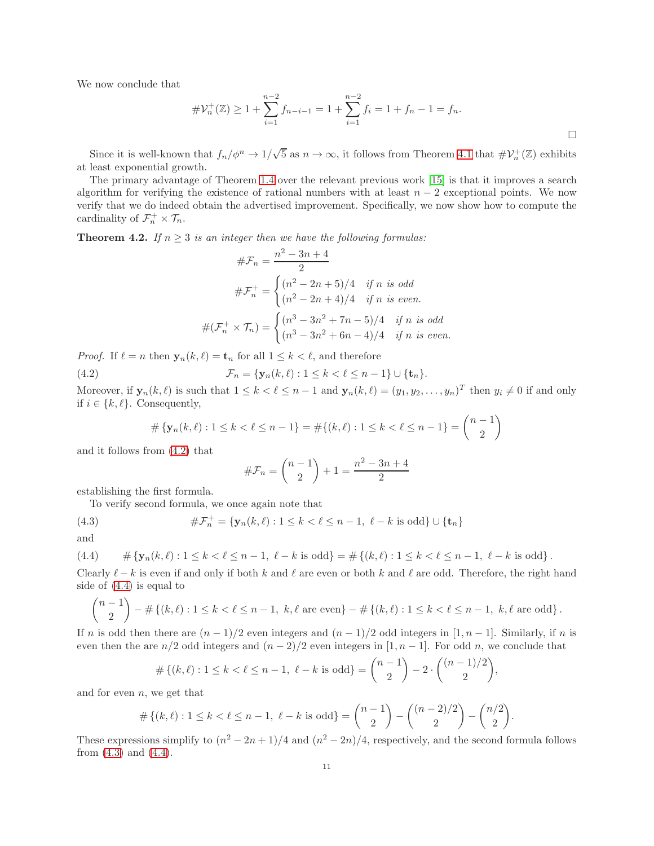We now conclude that

$$
\# \mathcal{V}_n^+(\mathbb{Z}) \ge 1 + \sum_{i=1}^{n-2} f_{n-i-1} = 1 + \sum_{i=1}^{n-2} f_i = 1 + f_n - 1 = f_n.
$$

Since it is well-known that  $f_n/\phi^n \to 1/\sqrt{5}$  as  $n \to \infty$ , it follows from Theorem [4.1](#page-8-0) that  $\#V_n^+(\mathbb{Z})$  exhibits at least exponential growth.

The primary advantage of Theorem [1.4](#page-2-0) over the relevant previous work [\[15\]](#page-11-14) is that it improves a search algorithm for verifying the existence of rational numbers with at least  $n-2$  exceptional points. We now verify that we do indeed obtain the advertised improvement. Specifically, we now show how to compute the cardinality of  $\mathcal{F}_n^+ \times \mathcal{T}_n$ .

<span id="page-10-0"></span>**Theorem 4.2.** *If*  $n \geq 3$  *is an integer then we have the following formulas:* 

$$
\#\mathcal{F}_n = \frac{n^2 - 3n + 4}{2}
$$
  

$$
\#\mathcal{F}_n^+ = \begin{cases} (n^2 - 2n + 5)/4 & \text{if } n \text{ is odd} \\ (n^2 - 2n + 4)/4 & \text{if } n \text{ is even.} \end{cases}
$$
  

$$
\#(\mathcal{F}_n^+ \times \mathcal{T}_n) = \begin{cases} (n^3 - 3n^2 + 7n - 5)/4 & \text{if } n \text{ is odd} \\ (n^3 - 3n^2 + 6n - 4)/4 & \text{if } n \text{ is even.} \end{cases}
$$

*Proof.* If  $\ell = n$  then  $\mathbf{y}_n(k, \ell) = \mathbf{t}_n$  for all  $1 \leq k < \ell$ , and therefore

(4.2) 
$$
\mathcal{F}_n = \{ \mathbf{y}_n(k,\ell) : 1 \leq k < \ell \leq n-1 \} \cup \{ \mathbf{t}_n \}.
$$

Moreover, if  $\mathbf{y}_n(k,\ell)$  is such that  $1 \leq k < \ell \leq n-1$  and  $\mathbf{y}_n(k,\ell) = (y_1, y_2, \ldots, y_n)^T$  then  $y_i \neq 0$  if and only if  $i \in \{k, \ell\}$ . Consequently,

<span id="page-10-1"></span>
$$
\#\left\{\mathbf{y}_n(k,\ell): 1 \le k < \ell \le n-1\right\} = \#\left\{(k,\ell): 1 \le k < \ell \le n-1\right\} = \binom{n-1}{2}
$$

and it follows from [\(4.2\)](#page-10-1) that

<span id="page-10-3"></span>
$$
\#\mathcal{F}_n = \binom{n-1}{2} + 1 = \frac{n^2 - 3n + 4}{2}
$$

establishing the first formula.

To verify second formula, we once again note that

(4.3) 
$$
\#\mathcal{F}_n^+ = \{ \mathbf{y}_n(k,\ell) : 1 \le k < \ell \le n-1, \ \ell - k \text{ is odd} \} \cup \{ \mathbf{t}_n \}
$$

and

<span id="page-10-2"></span>
$$
(4.4) \quad \# \{ \mathbf{y}_n(k,\ell) : 1 \leq k < \ell \leq n-1, \ \ell - k \text{ is odd} \} = \# \{ (k,\ell) : 1 \leq k < \ell \leq n-1, \ \ell - k \text{ is odd} \} \, .
$$

Clearly  $\ell - k$  is even if and only if both k and  $\ell$  are even or both k and  $\ell$  are odd. Therefore, the right hand side of [\(4.4\)](#page-10-2) is equal to

$$
\binom{n-1}{2} - \# \{ (k, \ell) : 1 \le k < \ell \le n-1, \ k, \ell \text{ are even} \} - \# \{ (k, \ell) : 1 \le k < \ell \le n-1, \ k, \ell \text{ are odd} \}.
$$

If n is odd then there are  $(n-1)/2$  even integers and  $(n-1)/2$  odd integers in [1, n – 1]. Similarly, if n is even then the are  $n/2$  odd integers and  $(n-2)/2$  even integers in [1, n – 1]. For odd n, we conclude that

$$
\#\{(k,\ell): 1 \le k < \ell \le n-1, \ \ell-k \text{ is odd}\} = \binom{n-1}{2} - 2 \cdot \binom{(n-1)/2}{2},
$$

and for even  $n$ , we get that

$$
\#\{(k,\ell): 1 \le k < \ell \le n-1, \ \ell-k \text{ is odd}\} = \binom{n-1}{2} - \binom{(n-2)/2}{2} - \binom{n/2}{2}.
$$

These expressions simplify to  $(n^2 - 2n + 1)/4$  and  $(n^2 - 2n)/4$ , respectively, and the second formula follows from  $(4.3)$  and  $(4.4)$ .